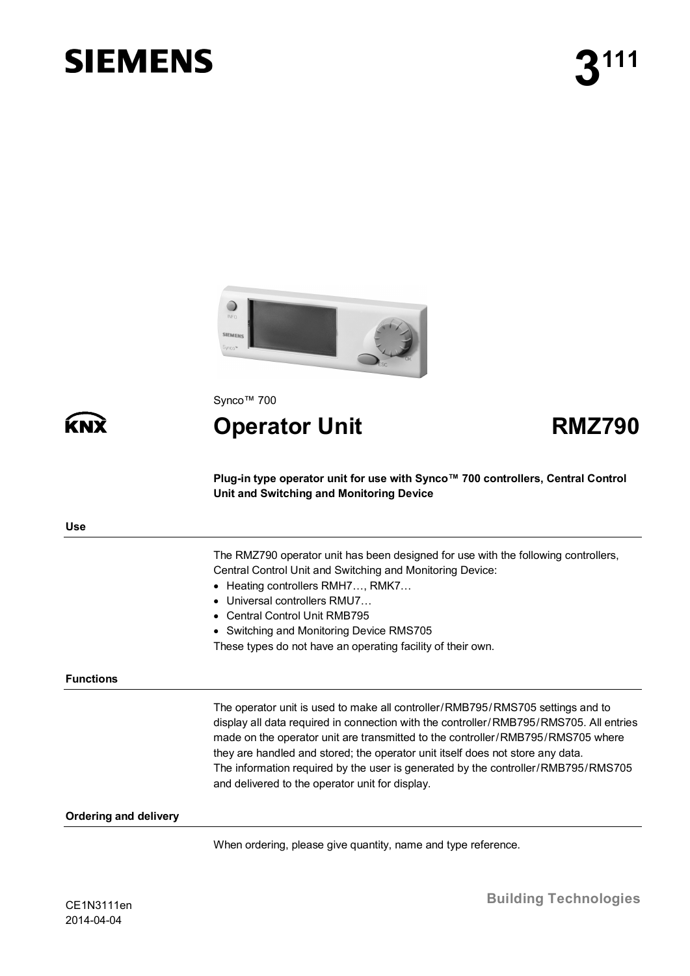# **SIEMENS**



Synco™ 700

**Operator Unit RMZ790**

**Plug-in type operator unit for use with Synco™ 700 controllers, Central Control Unit and Switching and Monitoring Device**

KN

The RMZ790 operator unit has been designed for use with the following controllers, Central Control Unit and Switching and Monitoring Device:

- · Heating controllers RMH7…, RMK7…
- · Universal controllers RMU7…
- · Central Control Unit RMB795
- · Switching and Monitoring Device RMS705
- These types do not have an operating facility of their own.

#### **Functions**

The operator unit is used to make all controller/RMB795/RMS705 settings and to display all data required in connection with the controller/RMB795/RMS705. All entries made on the operator unit are transmitted to the controller/RMB795/RMS705 where they are handled and stored; the operator unit itself does not store any data. The information required by the user is generated by the controller/RMB795/RMS705 and delivered to the operator unit for display.

### **Ordering and delivery**

When ordering, please give quantity, name and type reference.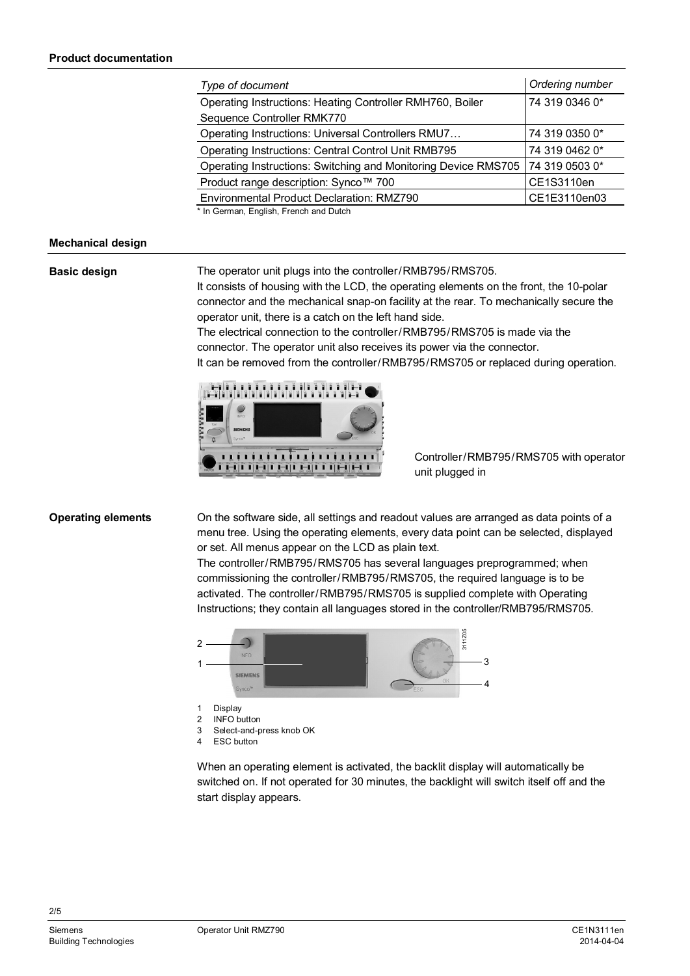| Type of document                                               | Ordering number |
|----------------------------------------------------------------|-----------------|
| Operating Instructions: Heating Controller RMH760, Boiler      | 74 319 0346 0*  |
| Sequence Controller RMK770                                     |                 |
| Operating Instructions: Universal Controllers RMU7             | 74 319 0350 0*  |
| Operating Instructions: Central Control Unit RMB795            | 74 319 0462 0*  |
| Operating Instructions: Switching and Monitoring Device RMS705 | 74 319 0503 0*  |
| Product range description: Synco™ 700                          | CE1S3110en      |
| Environmental Product Declaration: RMZ790                      | CE1E3110en03    |
| * In German, English, French and Dutch                         |                 |

\* In German, English, French and Dutch

### **Mechanical design**

#### **Basic design**

The operator unit plugs into the controller/RMB795/RMS705.

It consists of housing with the LCD, the operating elements on the front, the 10-polar connector and the mechanical snap-on facility at the rear. To mechanically secure the operator unit, there is a catch on the left hand side.

The electrical connection to the controller/RMB795/RMS705 is made via the connector. The operator unit also receives its power via the connector. It can be removed from the controller/RMB795/RMS705 or replaced during operation.



Controller/RMB795/RMS705 with operator unit plugged in

# **Operating elements**

On the software side, all settings and readout values are arranged as data points of a menu tree. Using the operating elements, every data point can be selected, displayed or set. All menus appear on the LCD as plain text.

The controller/RMB795/RMS705 has several languages preprogrammed; when commissioning the controller/RMB795/RMS705, the required language is to be activated. The controller/RMB795/RMS705 is supplied complete with Operating Instructions; they contain all languages stored in the controller/RMB795/RMS705.



When an operating element is activated, the backlit display will automatically be switched on. If not operated for 30 minutes, the backlight will switch itself off and the start display appears.

2/5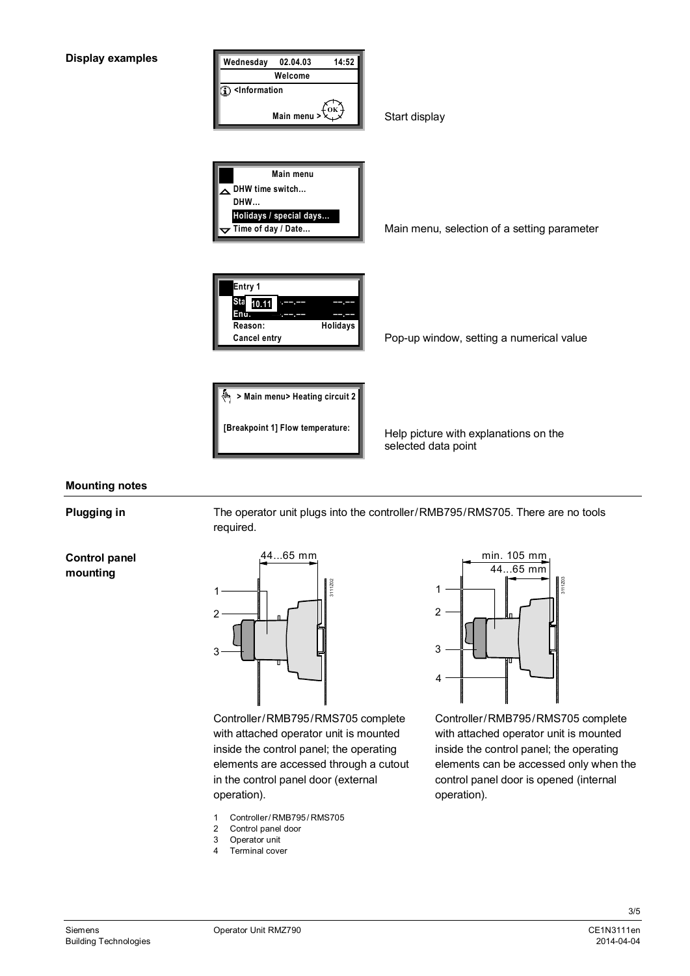

# **Mounting notes**

**Plugging in**

The operator unit plugs into the controller/RMB795/RMS705. There are no tools required.



17<sub>112</sub> 1  $\overline{2}$ 3 44...65 mm

Controller/RMB795/RMS705 complete with attached operator unit is mounted inside the control panel; the operating elements are accessed through a cutout in the control panel door (external operation).

- 1 Controller/ RMB795/ RMS705
- 2 Control panel door
- 3 Operator unit
- 4 Terminal cover



Controller/RMB795/RMS705 complete with attached operator unit is mounted inside the control panel; the operating elements can be accessed only when the control panel door is opened (internal operation).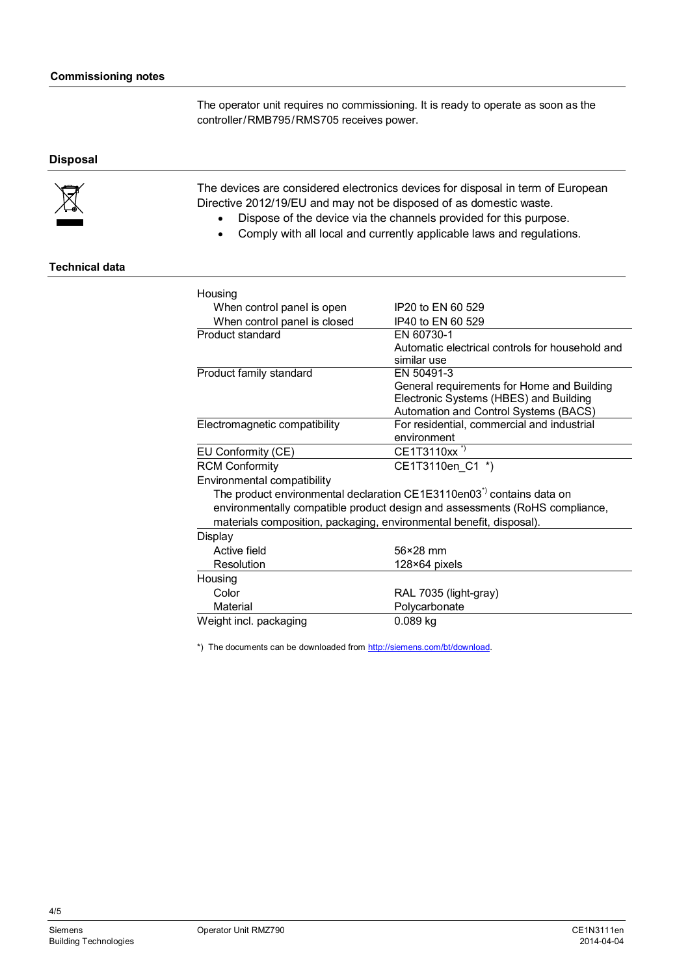The operator unit requires no commissioning. It is ready to operate as soon as the controller/RMB795/RMS705 receives power.

# **Disposal**



The devices are considered electronics devices for disposal in term of European Directive 2012/19/EU and may not be disposed of as domestic waste.

- · Dispose of the device via the channels provided for this purpose.
- Comply with all local and currently applicable laws and regulations.

## **Technical data**

| Housing                                                                           |                                                 |  |
|-----------------------------------------------------------------------------------|-------------------------------------------------|--|
| When control panel is open                                                        | IP20 to FN 60 529                               |  |
| When control panel is closed                                                      | IP40 to EN 60 529                               |  |
| Product standard                                                                  | FN 60730-1                                      |  |
|                                                                                   | Automatic electrical controls for household and |  |
|                                                                                   | similar use                                     |  |
| Product family standard                                                           | FN 50491-3                                      |  |
|                                                                                   | General requirements for Home and Building      |  |
|                                                                                   | Electronic Systems (HBES) and Building          |  |
|                                                                                   | Automation and Control Systems (BACS)           |  |
| Electromagnetic compatibility                                                     | For residential, commercial and industrial      |  |
|                                                                                   | environment                                     |  |
| EU Conformity (CE)                                                                | CE1T3110xx <sup>*)</sup>                        |  |
| <b>RCM Conformity</b>                                                             | CE1T3110en C1 *)                                |  |
| Environmental compatibility                                                       |                                                 |  |
| The product environmental declaration CE1E3110en03 <sup>*)</sup> contains data on |                                                 |  |
| environmentally compatible product design and assessments (RoHS compliance,       |                                                 |  |
| materials composition, packaging, environmental benefit, disposal).               |                                                 |  |
| Display                                                                           |                                                 |  |
| Active field                                                                      | 56×28 mm                                        |  |
| Resolution                                                                        | 128×64 pixels                                   |  |
| Housing                                                                           |                                                 |  |
| Color                                                                             | RAL 7035 (light-gray)                           |  |
| Material                                                                          | Polycarbonate                                   |  |
| Weight incl. packaging                                                            | $0.089$ kg                                      |  |

\*) The documents can be downloaded from [http://siemens.com/bt/download.](http://siemens.com/bt/download)

4/5